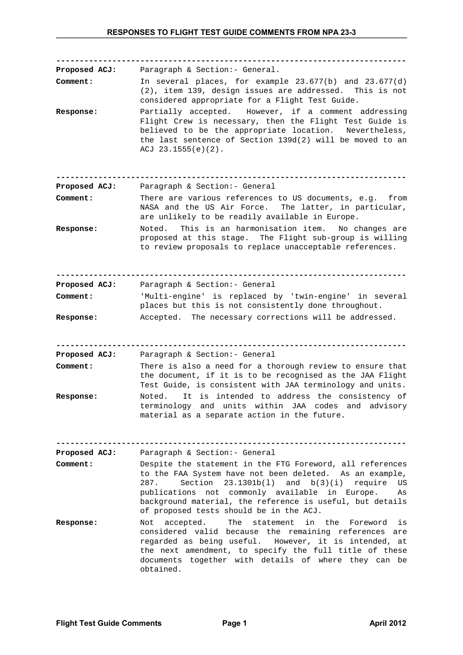| <b>Proposed ACJ:</b> | Paragraph & Section: - General.                                                                                                                                                                                                                                                                                                                       |
|----------------------|-------------------------------------------------------------------------------------------------------------------------------------------------------------------------------------------------------------------------------------------------------------------------------------------------------------------------------------------------------|
| Comment:             | In several places, for example $23.677(b)$ and $23.677(d)$<br>(2), item 139, design issues are addressed. This is not<br>considered appropriate for a Flight Test Guide.                                                                                                                                                                              |
| Response:            | Partially accepted. However, if a comment addressing<br>Flight Crew is necessary, then the Flight Test Guide is<br>believed to be the appropriate location. Nevertheless,<br>the last sentence of Section 139d(2) will be moved to an<br>ACJ $23.1555(e)(2)$ .                                                                                        |
| Proposed ACJ:        | Paragraph & Section: - General                                                                                                                                                                                                                                                                                                                        |
| Comment:             | There are various references to US documents, e.g. from<br>NASA and the US Air Force. The latter, in particular,<br>are unlikely to be readily available in Europe.                                                                                                                                                                                   |
| Response:            | This is an harmonisation item.<br>No changes are<br>Noted.<br>proposed at this stage. The Flight sub-group is willing<br>to review proposals to replace unacceptable references.                                                                                                                                                                      |
| <b>Proposed ACJ:</b> | Paragraph & Section: - General                                                                                                                                                                                                                                                                                                                        |
| Comment:             | 'Multi-engine' is replaced by 'twin-engine' in several<br>places but this is not consistently done throughout.                                                                                                                                                                                                                                        |
| Response:            | Accepted. The necessary corrections will be addressed.                                                                                                                                                                                                                                                                                                |
|                      |                                                                                                                                                                                                                                                                                                                                                       |
| Proposed ACJ:        | Paragraph & Section: - General                                                                                                                                                                                                                                                                                                                        |
| Comment:             | There is also a need for a thorough review to ensure that<br>the document, if it is to be recognised as the JAA Flight<br>Test Guide, is consistent with JAA terminology and units.                                                                                                                                                                   |
| Response:            | It is intended to address the consistency of<br>Noted.<br>terminology and units within JAA codes and advisory<br>material as a separate action in the future.                                                                                                                                                                                         |
|                      |                                                                                                                                                                                                                                                                                                                                                       |
| <b>Proposed ACJ:</b> | Paragraph & Section: - General                                                                                                                                                                                                                                                                                                                        |
| Comment:             | Despite the statement in the FTG Foreword, all references<br>to the FAA System have not been deleted. As an example,<br>Section $23.1301b(1)$ and $b(3)(i)$<br>287.<br>require<br>US.<br>publications not commonly available in Europe.<br>As<br>background material, the reference is useful, but details<br>of proposed tests should be in the ACJ. |
| <b>Response:</b>     | accepted.<br>The statement<br>in the Foreword<br>Not<br>is<br>considered valid because the remaining references are<br>regarded as being useful. However, it is intended, at<br>the next amendment, to specify the full title of these<br>documents together with details of where they can be<br>obtained.                                           |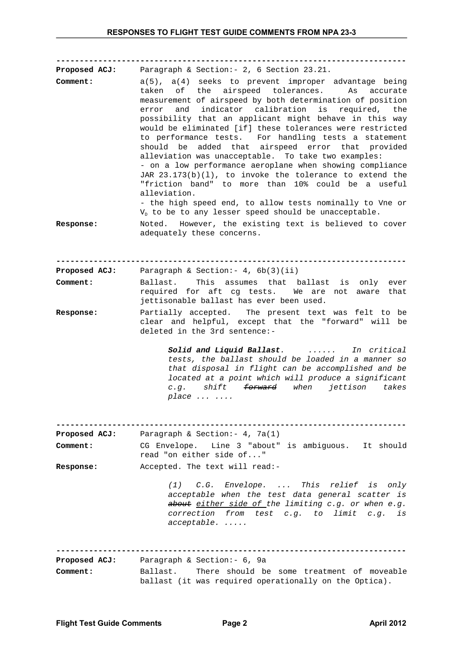**--------------------------------------------------------------------------- Proposed ACJ:** Paragraph & Section:- 2, 6 Section 23.21. **Comment:** a(5), a(4) seeks to prevent improper advantage being taken of the airspeed tolerances. As accurate measurement of airspeed by both determination of position error and indicator calibration is required, the possibility that an applicant might behave in this way would be eliminated [if] these tolerances were restricted to performance tests. For handling tests a statement should be added that airspeed error that provided alleviation was unacceptable. To take two examples: - on a low performance aeroplane when showing compliance JAR 23.173(b)(l), to invoke the tolerance to extend the "friction band" to more than 10% could be a useful alleviation. - the high speed end, to allow tests nominally to Vne or  $V<sub>D</sub>$  to be to any lesser speed should be unacceptable. **Response:** Noted. However, the existing text is believed to cover adequately these concerns. **--------------------------------------------------------------------------- Proposed ACJ:** Paragraph & Section:- 4, 6b(3)(ii) **Comment:** Ballast. This assumes that ballast is only ever required for aft cg tests. We are not aware that jettisonable ballast has ever been used. **Response:** Partially accepted. The present text was felt to be clear and helpful, except that the "forward" will be deleted in the 3rd sentence:- *Solid and Liquid Ballast. ...... In critical tests, the ballast should be loaded in a manner so that disposal in flight can be accomplished and be located at a point which will produce a significant c.g. shift forward when jettison takes place ... ....* **--------------------------------------------------------------------------- Proposed ACJ:** Paragraph & Section:- 4, 7a(1) **Comment:** CG Envelope. Line 3 "about" is ambiguous. It should read "on either side of..." **Response:** Accepted. The text will read:- *(1) C.G. Envelope. ... This relief is only acceptable when the test data general scatter is about either side of the limiting c.g. or when e.g. correction from test c.g. to limit c.g. is acceptable. .....* **--------------------------------------------------------------------------- Proposed ACJ:** Paragraph & Section:- 6, 9a **Comment:** Ballast. There should be some treatment of moveable ballast (it was required operationally on the Optica).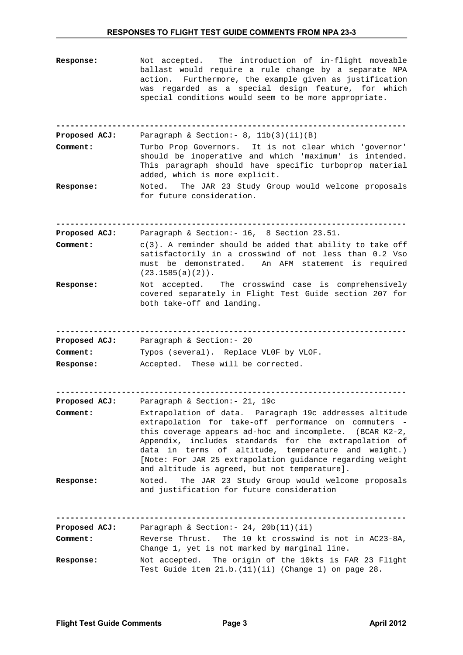| <b>Response:</b>     | Not accepted. The introduction of in-flight moveable<br>ballast would require a rule change by a separate NPA<br>Furthermore, the example given as justification<br>action.<br>was regarded as a special design feature, for which<br>special conditions would seem to be more appropriate.                                                                                                                |
|----------------------|------------------------------------------------------------------------------------------------------------------------------------------------------------------------------------------------------------------------------------------------------------------------------------------------------------------------------------------------------------------------------------------------------------|
| Proposed ACJ:        | Paragraph & Section: - $8$ , $11b(3)(ii)(B)$                                                                                                                                                                                                                                                                                                                                                               |
| Comment:             | Turbo Prop Governors. It is not clear which 'governor'<br>should be inoperative and which 'maximum' is intended.<br>This paragraph should have specific turboprop material<br>added, which is more explicit.                                                                                                                                                                                               |
| Response:            | Noted. The JAR 23 Study Group would welcome proposals<br>for future consideration.                                                                                                                                                                                                                                                                                                                         |
| <b>Proposed ACJ:</b> | Paragraph & Section: - 16, 8 Section 23.51.                                                                                                                                                                                                                                                                                                                                                                |
| Comment:             | $c(3)$ . A reminder should be added that ability to take off<br>satisfactorily in a crosswind of not less than 0.2 Vso<br>must be demonstrated. An AFM statement is required<br>$(23.1585(a)(2))$ .                                                                                                                                                                                                        |
| Response:            | Not accepted. The crosswind case is comprehensively<br>covered separately in Flight Test Guide section 207 for<br>both take-off and landing.                                                                                                                                                                                                                                                               |
| Proposed ACJ:        | Paragraph & Section: - 20                                                                                                                                                                                                                                                                                                                                                                                  |
| Comment:             | Typos (several). Replace VLOF by VLOF.                                                                                                                                                                                                                                                                                                                                                                     |
| <b>Response:</b>     | Accepted. These will be corrected.                                                                                                                                                                                                                                                                                                                                                                         |
| <b>Proposed ACJ:</b> | Paragraph & Section: - 21, 19c                                                                                                                                                                                                                                                                                                                                                                             |
| Comment:             | Extrapolation of data. Paragraph 19c addresses altitude<br>extrapolation for take-off performance on commuters -<br>this coverage appears ad-hoc and incomplete. (BCAR K2-2,<br>Appendix, includes standards for the extrapolation of<br>data in terms of altitude, temperature and weight.)<br>[Note: For JAR 25 extrapolation guidance regarding weight<br>and altitude is agreed, but not temperature]. |
| <b>Response:</b>     | The JAR 23 Study Group would welcome proposals<br>Noted.<br>and justification for future consideration                                                                                                                                                                                                                                                                                                     |
| <b>Proposed ACJ:</b> | Paragraph & Section: - 24, 20b(11)(ii)                                                                                                                                                                                                                                                                                                                                                                     |
| Comment:             | Reverse Thrust.<br>The 10 kt crosswind is not in AC23-8A,<br>Change 1, yet is not marked by marginal line.                                                                                                                                                                                                                                                                                                 |
| Response:            | Not accepted. The origin of the 10kts is FAR 23 Flight<br>Test Guide item $21.b.(11)(ii)$ (Change 1) on page 28.                                                                                                                                                                                                                                                                                           |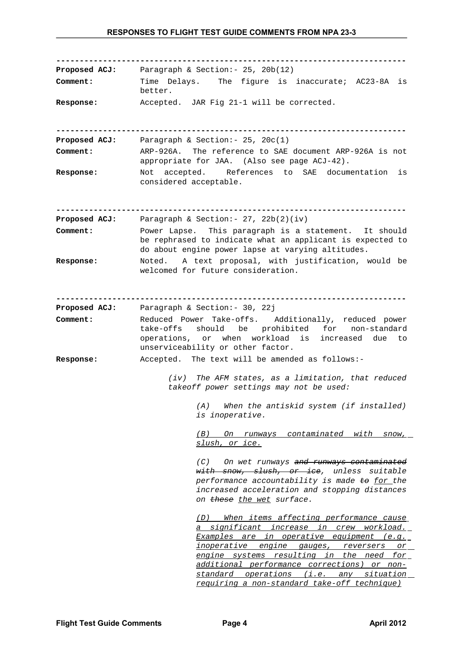**--------------------------------------------------------------------------- Proposed ACJ:** Paragraph & Section:- 25, 20b(12) **Comment:** Time Delays. The figure is inaccurate; AC23-8A is better. **Response:** Accepted. JAR Fig 21-1 will be corrected. **--------------------------------------------------------------------------- Proposed ACJ:** Paragraph & Section:- 25, 20c(1) **Comment:** ARP-926A. The reference to SAE document ARP-926A is not appropriate for JAA. (Also see page ACJ-42). **Response:** Not accepted. References to SAE documentation is considered acceptable. **--------------------------------------------------------------------------- Proposed ACJ:** Paragraph & Section:- 27, 22b(2)(iv) **Comment:** Power Lapse. This paragraph is a statement. It should be rephrased to indicate what an applicant is expected to do about engine power lapse at varying altitudes. **Response:** Noted. A text proposal, with justification, would be welcomed for future consideration. **--------------------------------------------------------------------------- Proposed ACJ:** Paragraph & Section:- 30, 22j **Comment:** Reduced Power Take-offs. Additionally, reduced power take-offs should be prohibited for non-standard operations, or when workload is increased due to unserviceability or other factor. **Response:** Accepted. The text will be amended as follows:- *(iv) The AFM states, as a limitation, that reduced takeoff power settings may not be used: (A) When the antiskid system (if installed) is inoperative. (B) On runways contaminated with snow, slush, or ice. (C) On wet runways and runways contaminated with snow, slush, or ice, unless suitable performance accountability is made to for the increased acceleration and stopping distances on these the wet surface. (D) When items affecting performance cause a significant increase in crew workload. Examples are in operative equipment (e.g. inoperative engine gauges, reversers or engine systems resulting in the need for additional performance corrections) or nonstandard operations (i.e. any situation requiring a non-standard take-off technique)*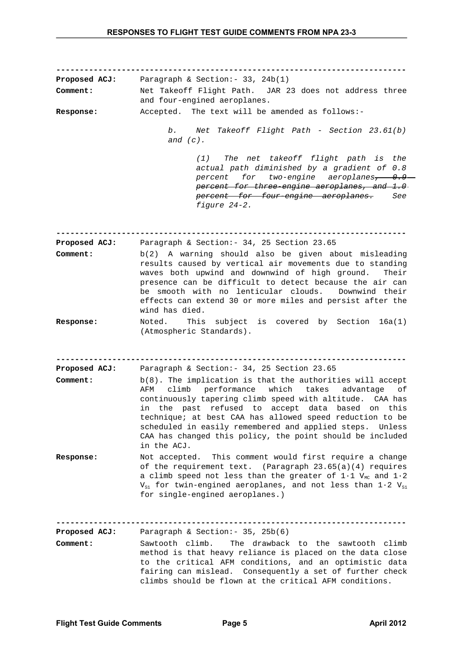**--------------------------------------------------------------------------- Proposed ACJ:** Paragraph & Section:- 33, 24b(1) **Comment:** Net Takeoff Flight Path. JAR 23 does not address three and four-engined aeroplanes. **Response:** Accepted. The text will be amended as follows: *b. Net Takeoff Flight Path - Section 23.61(b) and (c). (1) The net takeoff flight path is the actual path diminished by a gradient of 0.8 percent for two-engine aeroplanes, 0.9 percent for three-engine aeroplanes, and 1.0 percent for four-engine aeroplanes. See figure 24-2.* **--------------------------------------------------------------------------- Proposed ACJ:** Paragraph & Section:- 34, 25 Section 23.65 **Comment:** b(2) A warning should also be given about misleading results caused by vertical air movements due to standing waves both upwind and downwind of high ground. Their presence can be difficult to detect because the air can be smooth with no lenticular clouds. Downwind their effects can extend 30 or more miles and persist after the wind has died. **Response:** Noted. This subject is covered by Section 16a(1) (Atmospheric Standards). **--------------------------------------------------------------------------- Proposed ACJ:** Paragraph & Section:- 34, 25 Section 23.65 **Comment:** b(8). The implication is that the authorities will accept AFM climb performance which takes advantage of continuously tapering climb speed with altitude. CAA has in the past refused to accept data based on this technique; at best CAA has allowed speed reduction to be scheduled in easily remembered and applied steps. Unless CAA has changed this policy, the point should be included in the ACJ. **Response:** Not accepted. This comment would first require a change of the requirement text. (Paragraph 23.65(a)(4) requires a climb speed not less than the greater of  $1\cdot1$  V<sub>MC</sub> and  $1\cdot2$  $V_{S1}$  for twin-engined aeroplanes, and not less than 1.2  $V_{S1}$ for single-engined aeroplanes.) **--------------------------------------------------------------------------- Proposed ACJ:** Paragraph & Section:- 35, 25b(6) **Comment:** Sawtooth climb. The drawback to the sawtooth climb method is that heavy reliance is placed on the data close to the critical AFM conditions, and an optimistic data fairing can mislead. Consequently a set of further check climbs should be flown at the critical AFM conditions.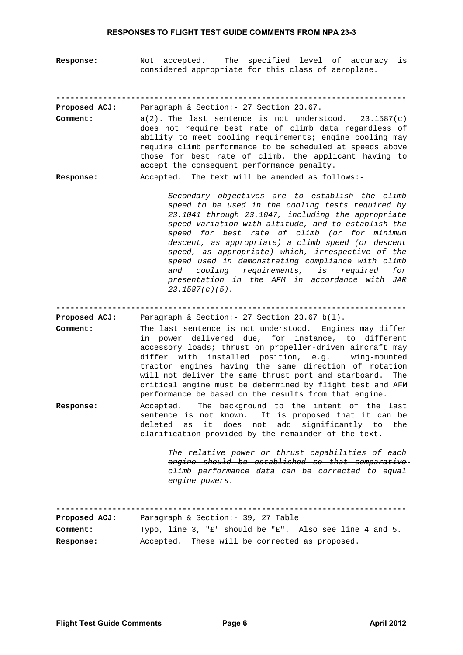**Response:** Not accepted. The specified level of accuracy is considered appropriate for this class of aeroplane.

**---------------------------------------------------------------------------**

- **Proposed ACJ:** Paragraph & Section:- 27 Section 23.67. **Comment:** a(2). The last sentence is not understood. 23.1587(c) does not require best rate of climb data regardless of ability to meet cooling requirements; engine cooling may require climb performance to be scheduled at speeds above those for best rate of climb, the applicant having to accept the consequent performance penalty.
- **Response:** Accepted. The text will be amended as follows:-

*Secondary objectives are to establish the climb speed to be used in the cooling tests required by 23.1041 through 23.1047, including the appropriate speed variation with altitude, and to establish the speed for best rate of climb (or for minimum descent, as appropriate) a climb speed (or descent speed, as appropriate) which, irrespective of the speed used in demonstrating compliance with climb and cooling requirements, is required for presentation in the AFM in accordance with JAR 23.1587(c)(5).*

**---------------------------------------------------------------------------**

- **Proposed ACJ:** Paragraph & Section:- 27 Section 23.67 b(l). **Comment:** The last sentence is not understood. Engines may differ in power delivered due, for instance, to different accessory loads; thrust on propeller-driven aircraft may differ with installed position, e.g. wing-mounted tractor engines having the same direction of rotation will not deliver the same thrust port and starboard. The critical engine must be determined by flight test and AFM performance be based on the results from that engine.
- **Response:** Accepted. The background to the intent of the last sentence is not known. It is proposed that it can be deleted as it does not add significantly to the clarification provided by the remainder of the text.

*The relative power or thrust capabilities of each engine should be established so that comparative climb performance data can be corrected to equal engine powers.*

**--------------------------------------------------------------------------- Proposed ACJ:** Paragraph & Section:- 39, 27 Table **Comment:** Typo, line 3, "£" should be "£". Also see line 4 and 5. **Response:** Accepted. These will be corrected as proposed.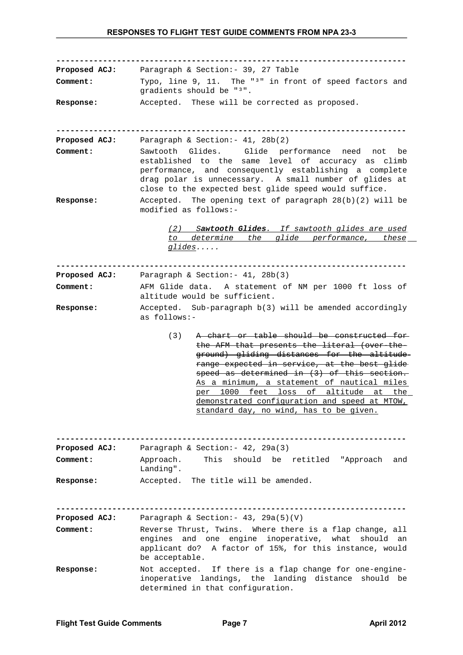**--------------------------------------------------------------------------- Proposed ACJ:** Paragraph & Section:- 39, 27 Table **Comment:** Typo, line 9, 11. The "<sup>3</sup>" in front of speed factors and gradients should be "3". **Response:** Accepted. These will be corrected as proposed. **--------------------------------------------------------------------------- Proposed ACJ:** Paragraph & Section:- 41, 28b(2) **Comment:** Sawtooth Glides. Glide performance need not be established to the same level of accuracy as climb performance, and consequently establishing a complete drag polar is unnecessary. A small number of glides at close to the expected best glide speed would suffice. **Response:** Accepted. The opening text of paragraph 28(b)(2) will be modified as follows:-  *(2) S awtooth Glides. If sawtooth glides are used to determine the glide performance, these glides.....* **--------------------------------------------------------------------------- Proposed ACJ:** Paragraph & Section:- 41, 28b(3) **Comment:** AFM Glide data. A statement of NM per 1000 ft loss of altitude would be sufficient. **Response:** Accepted. Sub-paragraph b(3) will be amended accordingly as follows:- (3) A chart or table should be constructed for the AFM that presents the literal (over-theground) gliding distances for the altitude range expected in service, at the best glide speed as determined in (3) of this section. As a minimum, a statement of nautical miles per 1000 feet loss of altitude at the demonstrated configuration and speed at MTOW, standard day, no wind, has to be given. **--------------------------------------------------------------------------- Proposed ACJ:** Paragraph & Section:- 42, 29a(3) **Comment:** Approach. This should be retitled "Approach and Landing". **Response:** Accepted. The title will be amended. **--------------------------------------------------------------------------- Proposed ACJ:** Paragraph & Section:- 43, 29a(5)(V) **Comment:** Reverse Thrust, Twins. Where there is a flap change, all engines and one engine inoperative, what should an applicant do? A factor of 15%, for this instance, would be acceptable. **Response:** Not accepted. If there is a flap change for one-engineinoperative landings, the landing distance should be determined in that configuration.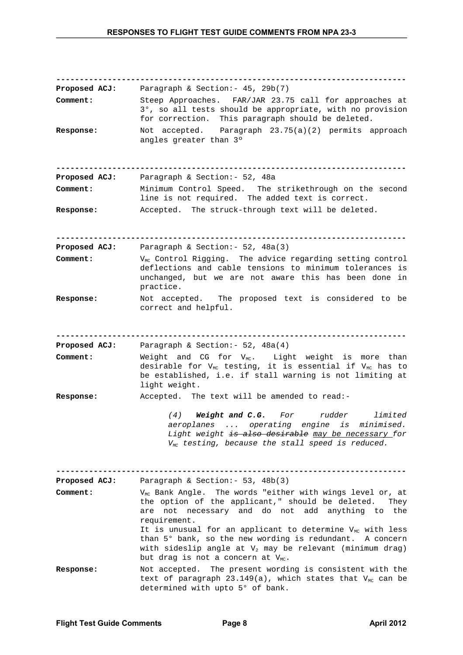**--------------------------------------------------------------------------- Proposed ACJ:** Paragraph & Section:- 45, 29b(7) **Comment:** Steep Approaches. FAR/JAR 23.75 call for approaches at 3°, so all tests should be appropriate, with no provision for correction. This paragraph should be deleted. **Response:** Not accepted. Paragraph 23.75(a)(2) permits approach angles greater than 3º **--------------------------------------------------------------------------- Proposed ACJ:** Paragraph & Section:- 52, 48a **Comment:** Minimum Control Speed. The strikethrough on the second line is not required. The added text is correct. **Response:** Accepted. The struck-through text will be deleted. **--------------------------------------------------------------------------- Proposed ACJ:** Paragraph & Section:- 52, 48a(3) **Comment:** V<sub>MC</sub> Control Rigging. The advice regarding setting control deflections and cable tensions to minimum tolerances is unchanged, but we are not aware this has been done in practice. **Response:** Not accepted. The proposed text is considered to be correct and helpful. **--------------------------------------------------------------------------- Proposed ACJ:** Paragraph & Section:- 52, 48a(4) **Comment:** Weight and CG for V<sub>MC</sub>. Light weight is more than desirable for V $_{\texttt{\tiny MC}}$  testing, it is essential if V $_{\texttt{\tiny MC}}$  has to be established, i.e. if stall warning is not limiting at light weight. **Response:** Accepted. The text will be amended to read:- *(4) Weight and C.G. For rudder limited aeroplanes ... operating engine is minimised. Light weight is also desirable may be necessary for VMC testing, because the stall speed is reduced.* **--------------------------------------------------------------------------- Proposed ACJ:** Paragraph & Section:- 53, 48b(3) **Comment:** V<sub>MC</sub> Bank Angle. The words "either with wings level or, at the option of the applicant," should be deleted. They are not necessary and do not add anything to the requirement. It is unusual for an applicant to determine  $V_{MC}$  with less than 5° bank, so the new wording is redundant. A concern with sideslip angle at  $V_2$  may be relevant (minimum drag) but drag is not a concern at  $V_{MC}$ . **Response:** Not accepted. The present wording is consistent with the text of paragraph 23.149(a), which states that  $V_{MC}$  can be determined with upto 5° of bank.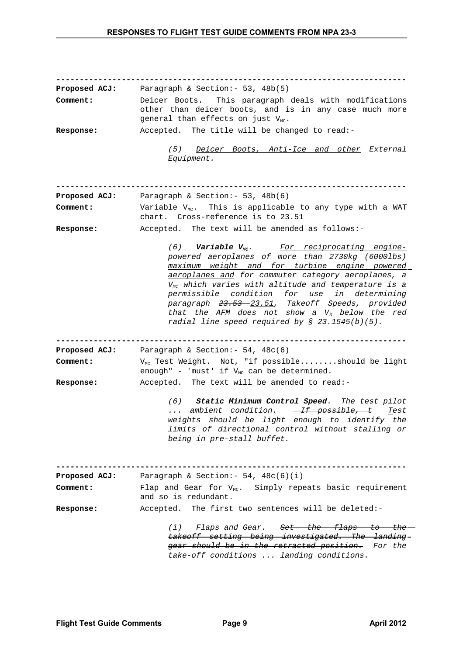| <b>Proposed ACJ:</b><br>Comment: | Paragraph & Section: - 53, 48b(5)<br>Deicer Boots. This paragraph deals with modifications                                                                                                                                                                                                                                   |  |  |  |  |  |
|----------------------------------|------------------------------------------------------------------------------------------------------------------------------------------------------------------------------------------------------------------------------------------------------------------------------------------------------------------------------|--|--|--|--|--|
|                                  | other than deicer boots, and is in any case much more<br>general than effects on just $V_{MC}$ .                                                                                                                                                                                                                             |  |  |  |  |  |
| <b>Response:</b>                 | Accepted. The title will be changed to read:-                                                                                                                                                                                                                                                                                |  |  |  |  |  |
|                                  | (5) Deicer Boots, Anti-Ice and other External<br>Equipment.                                                                                                                                                                                                                                                                  |  |  |  |  |  |
| <b>Proposed ACJ:</b>             | Paragraph & Section: - 53, 48b(6)                                                                                                                                                                                                                                                                                            |  |  |  |  |  |
| Comment:                         | Variable $V_{MC}$ . This is applicable to any type with a WAT<br>chart. Cross-reference is to 23.51                                                                                                                                                                                                                          |  |  |  |  |  |
| Response:                        | Accepted. The text will be amended as follows:-                                                                                                                                                                                                                                                                              |  |  |  |  |  |
|                                  | (6) Variable $V_{MC}$ . For reciprocating engine-<br>powered aeroplanes of more than 2730kg (6000lbs)<br>maximum weight and for turbine engine powered                                                                                                                                                                       |  |  |  |  |  |
|                                  | aeroplanes and for commuter category aeroplanes, a<br>$V_{MC}$ which varies with altitude and temperature is a<br>permissible condition for use in determining<br>paragraph 23.53 - 23.51, Takeoff Speeds, provided<br>that the AFM does not show a $V_R$ below the red<br>radial line speed required by $\S$ 23.1545(b)(5). |  |  |  |  |  |
| <b>Proposed ACJ:</b>             | Paragraph & Section: - 54, 48c(6)                                                                                                                                                                                                                                                                                            |  |  |  |  |  |
| Comment:                         | V <sub>MC</sub> Test Weight. Not, "if possibleshould be light<br>enough" - 'must' if $V_{MC}$ can be determined.                                                                                                                                                                                                             |  |  |  |  |  |
| <b>Response:</b>                 | Accepted. The text will be amended to read:-                                                                                                                                                                                                                                                                                 |  |  |  |  |  |
|                                  | (6) Static Minimum Control Speed. The test pilot<br>ambient condition. $\overline{If}$ possible, t Test<br>$\mathbf{r}$ , $\mathbf{r}$<br>weights should be light enough to identify the<br>limits of directional control without stalling or<br>being in pre-stall buffet.                                                  |  |  |  |  |  |
| <b>Proposed ACJ:</b>             | Paragraph & Section: $-54$ , $48c(6)(i)$                                                                                                                                                                                                                                                                                     |  |  |  |  |  |
| Comment:                         | Flap and Gear for $V_{MC}$ . Simply repeats basic requirement<br>and so is redundant.                                                                                                                                                                                                                                        |  |  |  |  |  |
| Response:                        | Accepted. The first two sentences will be deleted:-                                                                                                                                                                                                                                                                          |  |  |  |  |  |
|                                  | (i) Flaps and Gear. Set the flaps to the<br>takeoff setting being investigated. The landing-<br>gear should be in the retracted position. For the<br>take-off conditions  landing conditions.                                                                                                                                |  |  |  |  |  |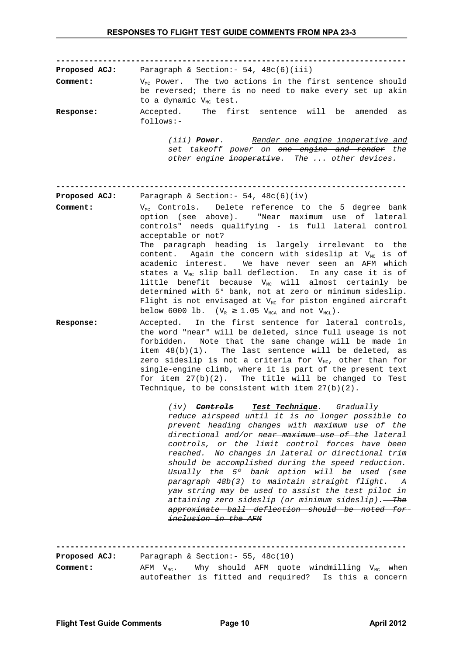**--------------------------------------------------------------------------- Proposed ACJ:** Paragraph & Section: - 54, 48c(6)(iii) **Comment:** V<sub>MC</sub> Power. The two actions in the first sentence should be reversed; there is no need to make every set up akin to a dynamic  $V_{MC}$  test. **Response:** Accepted. The first sentence will be amended as follows:- *(iii) Power. Render one engine inoperative and set takeoff power on one engine and render the other engine inoperative. The ... other devices.* **--------------------------------------------------------------------------- Proposed ACJ:** Paragraph & Section:- 54, 48c(6)(iv) **Comment:** V<sub>MC</sub> Controls. Delete reference to the 5 degree bank option (see above). "Near maximum use of lateral controls" needs qualifying - is full lateral control acceptable or not? The paragraph heading is largely irrelevant to the content. Again the concern with sideslip at  $V_{MC}$  is of academic interest. We have never seen an AFM which states a  $V_{\text{MC}}$  slip ball deflection. In any case it is of little benefit because  $V_{MC}$  will almost certainly be determined with 5° bank, not at zero or minimum sideslip. Flight is not envisaged at  $V_{MC}$  for piston engined aircraft below 6000 lb. ( $V_R \ge 1.05$   $V_{MCA}$  and not  $V_{MCL}$ ). **Response:** Accepted. In the first sentence for lateral controls, the word "near" will be deleted, since full useage is not forbidden. Note that the same change will be made in item 48(b)(1). The last sentence will be deleted, as zero sideslip is not a criteria for  $V_{MC}$ , other than for single-engine climb, where it is part of the present text for item 27(b)(2). The title will be changed to Test Technique, to be consistent with item 27(b)(2). *(iv) Controls Test Technique. Gradually reduce airspeed until it is no longer possible to prevent heading changes with maximum use of the directional and/or near maximum use of the lateral controls, or the limit control forces have been reached. No changes in lateral or directional trim should be accomplished during the speed reduction. Usually the 5º bank option will be used (see paragraph 48b(3) to maintain straight flight. A yaw string may be used to assist the test pilot in attaining zero sideslip (or minimum sideslip). The approximate ball deflection should be noted for inclusion in the AFM* **--------------------------------------------------------------------------- Proposed ACJ:** Paragraph & Section:- 55, 48c(10)

**Comment:** AFM V<sub>MC</sub>. Why should AFM quote windmilling V<sub>MC</sub> when autofeather is fitted and required? Is this a concern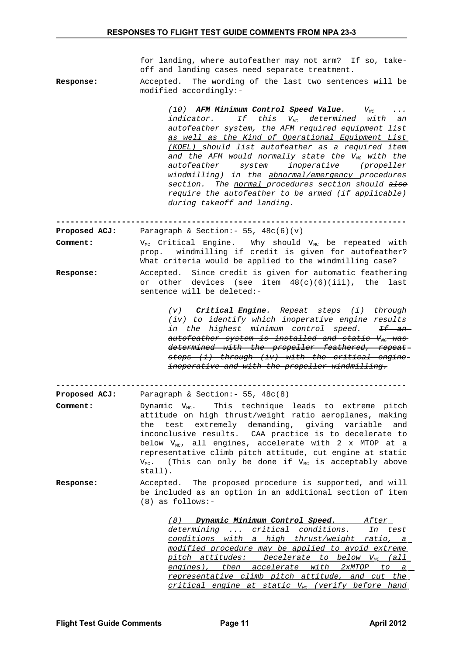for landing, where autofeather may not arm? If so, takeoff and landing cases need separate treatment.

**Response:** Accepted. The wording of the last two sentences will be modified accordingly:-

> *(10) AFM Minimum Control Speed Value. VMC ... indicator. If this VMC determined with an autofeather system, the AFM required equipment list as well as the Kind of Operational Equipment List (KOEL) should list autofeather as a required item* and the AFM would normally state the V<sub>MC</sub> with the *autofeather system inoperative (propeller windmilling) in the abnormal/emergency procedures section. The normal procedures section should also require the autofeather to be armed (if applicable) during takeoff and landing.*

**---------------------------------------------------------------------------**

**Proposed ACJ:** Paragraph & Section:- 55, 48c(6)(v) **Comment:** V<sub>MC</sub> Critical Engine. Why should V<sub>MC</sub> be repeated with prop. windmilling if credit is given for autofeather? What criteria would be applied to the windmilling case?

**Response:** Accepted. Since credit is given for automatic feathering or other devices (see item 48(c)(6)(iii), the last sentence will be deleted:-

> *(v) Critical Engine. Repeat steps (i) through (iv) to identify which inoperative engine results in the highest minimum control speed. If an* autofeather system is installed and static V<sub>MC</sub> was *determined with the propeller feathered, repeat steps (i) through (iv) with the critical engine inoperative and with the propeller windmilling.*

**---------------------------------------------------------------------------**

- **Proposed ACJ:** Paragraph & Section:- 55, 48c(8) **Comment:** Dynamic V<sub>MC</sub>. This technique leads to extreme pitch attitude on high thrust/weight ratio aeroplanes, making the test extremely demanding, giving variable and inconclusive results. CAA practice is to decelerate to below  $V_{MC}$ , all engines, accelerate with 2 x MTOP at a representative climb pitch attitude, cut engine at static  $V_{MC}$ . (This can only be done if  $V_{MC}$  is acceptably above stall).
- **Response:** Accepted. The proposed procedure is supported, and will be included as an option in an additional section of item (8) as follows:-

 *(8) Dynamic Minimum Control Speed. After determining ... critical conditions. In test conditions with a high thrust/weight ratio, a modified procedure may be applied to avoid extreme pitch attitudes: Decelerate to below VMC (all engines), then accelerate with 2xMTOP to a representative climb pitch attitude, and cut the critical engine at static VMC (verify before hand*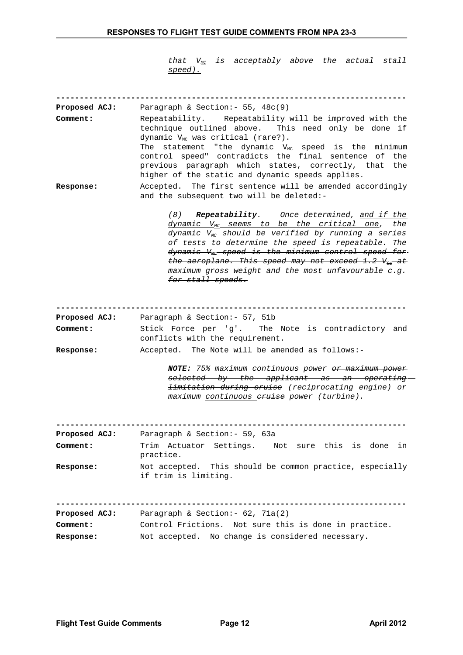*that VMC is acceptably above the actual stall speed).*

| <b>Proposed ACJ:</b>             | Paragraph & Section: - 55, 48c(9)                                                                                                                                                                                                                                                                                                                                                                                                                                      |
|----------------------------------|------------------------------------------------------------------------------------------------------------------------------------------------------------------------------------------------------------------------------------------------------------------------------------------------------------------------------------------------------------------------------------------------------------------------------------------------------------------------|
| Comment:                         | Repeatability. Repeatability will be improved with the<br>technique outlined above. This need only be done if<br>dynamic V <sub>MC</sub> was critical (rare?).<br>The statement "the dynamic $V_{MC}$ speed is the minimum<br>control speed" contradicts the final sentence of<br>the<br>previous paragraph which states, correctly, that<br>the<br>higher of the static and dynamic speeds applies.                                                                   |
| Response:                        | Accepted. The first sentence will be amended accordingly<br>and the subsequent two will be deleted:-                                                                                                                                                                                                                                                                                                                                                                   |
|                                  | <b>Repeatability.</b> Once determined, <u>and if the</u><br>(8)<br>$\frac{d$ ynamic $V_{mc}$ seems to be the critical one,<br>the<br>dynamic $V_{MC}$ should be verified by running a series<br>of tests to determine the speed is repeatable. The<br>$dy$ namic $V_{\text{MC}}$ speed is the minimum control speed for<br>the aeroplane. This speed may not exceed $1.2 V_{\text{S}z}$ at<br>maximum gross weight and the most unfavourable c.g.<br>for stall speeds. |
|                                  |                                                                                                                                                                                                                                                                                                                                                                                                                                                                        |
| <b>Proposed ACJ:</b><br>Comment: | Paragraph & Section: - 57, 51b<br>Stick Force per 'g'. The Note is contradictory and                                                                                                                                                                                                                                                                                                                                                                                   |
|                                  | conflicts with the requirement.                                                                                                                                                                                                                                                                                                                                                                                                                                        |
| <b>Response:</b>                 | Accepted. The Note will be amended as follows:-                                                                                                                                                                                                                                                                                                                                                                                                                        |
|                                  | NOTE: 75% maximum continuous power or maximum power<br>selected by the applicant as an operating-<br><i>limitation during cruise</i> (reciprocating engine) or<br>maximum continuous eruise power (turbine).                                                                                                                                                                                                                                                           |
| <b>Proposed ACJ:</b>             | Paragraph & Section: - 59, 63a                                                                                                                                                                                                                                                                                                                                                                                                                                         |
| Comment:                         | Not sure this is done<br>Trim Actuator Settings.<br>in<br>practice.                                                                                                                                                                                                                                                                                                                                                                                                    |
| <b>Response:</b>                 | Not accepted. This should be common practice, especially<br>if trim is limiting.                                                                                                                                                                                                                                                                                                                                                                                       |
| <b>Proposed ACJ:</b>             | Paragraph & Section: - 62, 71a(2)                                                                                                                                                                                                                                                                                                                                                                                                                                      |
| Comment:                         | Control Frictions. Not sure this is done in practice.                                                                                                                                                                                                                                                                                                                                                                                                                  |
| <b>Response:</b>                 | Not accepted. No change is considered necessary.                                                                                                                                                                                                                                                                                                                                                                                                                       |
|                                  |                                                                                                                                                                                                                                                                                                                                                                                                                                                                        |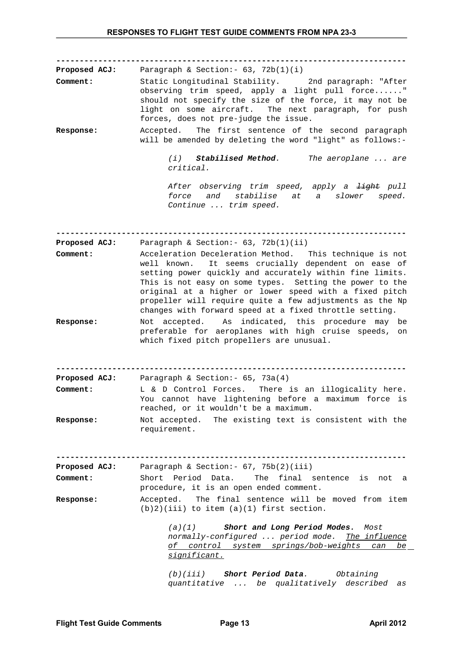**---------------------------------------------------------------------------**

**Proposed ACJ:** Paragraph & Section:- 63, 72b(1)(i) **Comment:** Static Longitudinal Stability. 2nd paragraph: "After observing trim speed, apply a light pull force......" should not specify the size of the force, it may not be light on some aircraft. The next paragraph, for push forces, does not pre-judge the issue. **Response:** Accepted. The first sentence of the second paragraph

will be amended by deleting the word "light" as follows:-

*(i) Stabilised Method. The aeroplane ... are critical.*

*After observing trim speed, apply a light pull force and stabilise at a slower speed. Continue ... trim speed.*

**--------------------------------------------------------------------------- Proposed ACJ:** Paragraph & Section: - 63, 72b(1)(ii)

- **Comment:** Acceleration Deceleration Method. This technique is not well known. It seems crucially dependent on ease of setting power quickly and accurately within fine limits. This is not easy on some types. Setting the power to the original at a higher or lower speed with a fixed pitch propeller will require quite a few adjustments as the Np changes with forward speed at a fixed throttle setting.
- **Response:** Not accepted. As indicated, this procedure may be preferable for aeroplanes with high cruise speeds, on which fixed pitch propellers are unusual.

**--------------------------------------------------------------------------- Proposed ACJ:** Paragraph & Section:- 65, 73a(4)

- **Comment:** L & D Control Forces. There is an illogicality here. You cannot have lightening before a maximum force is reached, or it wouldn't be a maximum.
- **Response:** Not accepted. The existing text is consistent with the requirement.

**--------------------------------------------------------------------------- Proposed ACJ:** Paragraph & Section:- 67, 75b(2)(iii)

**Comment:** Short Period Data. The final sentence is not a procedure, it is an open ended comment.

**Response:** Accepted. The final sentence will be moved from item  $(b)2)(iii)$  to item  $(a)(1)$  first section.

> *(a)(1) Short and Long Period Modes. Most normally-configured ... period mode. The influence of control system springs/bob-weights can be significant.*

*(b)(iii) Short Period Data. Obtaining quantitative ... be qualitatively described as*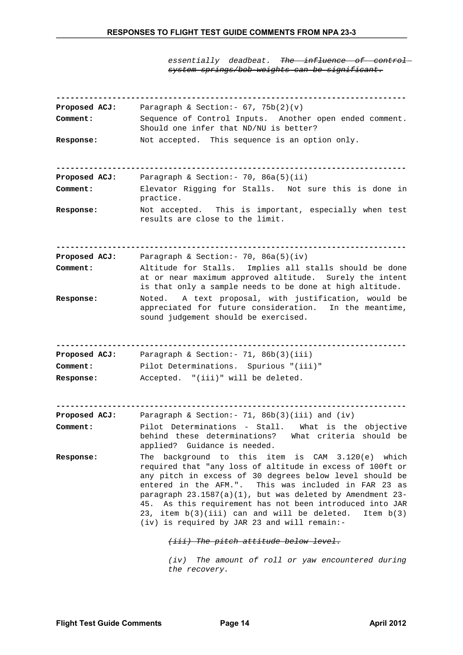*essentially deadbeat. The influence of control system springs/bob-weights can be significant.*

| <b>Proposed ACJ:</b>      | Paragraph & Section: - $67, 75b(2)(v)$                                                                                                                                                                                                                                                                                                                                                                                                                                                 |
|---------------------------|----------------------------------------------------------------------------------------------------------------------------------------------------------------------------------------------------------------------------------------------------------------------------------------------------------------------------------------------------------------------------------------------------------------------------------------------------------------------------------------|
| Comment:                  | Sequence of Control Inputs. Another open ended comment.<br>Should one infer that ND/NU is better?                                                                                                                                                                                                                                                                                                                                                                                      |
| <b>Response:</b>          | Not accepted. This sequence is an option only.                                                                                                                                                                                                                                                                                                                                                                                                                                         |
| <b>Proposed ACJ:</b>      | Paragraph & Section: - 70, $86a(5)(ii)$                                                                                                                                                                                                                                                                                                                                                                                                                                                |
| Comment:                  | Elevator Rigging for Stalls. Not sure this is done in<br>practice.                                                                                                                                                                                                                                                                                                                                                                                                                     |
| <b>Response:</b>          | Not accepted. This is important, especially when test<br>results are close to the limit.                                                                                                                                                                                                                                                                                                                                                                                               |
|                           |                                                                                                                                                                                                                                                                                                                                                                                                                                                                                        |
| Proposed ACJ:<br>Comment: | Paragraph & Section: $-70$ , 86a(5)(iv)<br>Altitude for Stalls. Implies all stalls should be done<br>at or near maximum approved altitude. Surely the intent<br>is that only a sample needs to be done at high altitude.                                                                                                                                                                                                                                                               |
| <b>Response:</b>          | Noted. A text proposal, with justification, would be<br>appreciated for future consideration.<br>In the meantime,<br>sound judgement should be exercised.                                                                                                                                                                                                                                                                                                                              |
|                           |                                                                                                                                                                                                                                                                                                                                                                                                                                                                                        |
| Proposed ACJ:             | Paragraph & Section: - 71, 86b(3)(iii)                                                                                                                                                                                                                                                                                                                                                                                                                                                 |
| Comment:                  | Pilot Determinations. Spurious "(iii)"                                                                                                                                                                                                                                                                                                                                                                                                                                                 |
| Response:                 | Accepted. "(iii)" will be deleted.                                                                                                                                                                                                                                                                                                                                                                                                                                                     |
| Proposed ACJ:             | Paragraph & Section: $-71$ , 86b(3)(iii) and (iv)                                                                                                                                                                                                                                                                                                                                                                                                                                      |
| Comment:                  | Pilot Determinations - Stall.<br>What is the objective<br>behind these determinations?<br>What criteria should be<br>applied? Guidance is needed.                                                                                                                                                                                                                                                                                                                                      |
| <b>Response:</b>          | background to this item is CAM 3.120(e) which<br>The<br>required that "any loss of altitude in excess of 100ft or<br>any pitch in excess of 30 degrees below level should be<br>entered in the AFM.". This was included in FAR 23 as<br>paragraph $23.1587(a)(1)$ , but was deleted by Amendment $23$ -<br>As this requirement has not been introduced into JAR<br>45.<br>23, item $b(3)(iii)$ can and will be deleted.<br>Item $b(3)$<br>(iv) is required by JAR 23 and will remain:- |
|                           | (iii) The pitch attitude below level.                                                                                                                                                                                                                                                                                                                                                                                                                                                  |
|                           | $(iv)$ The amount of roll or yaw encountered during                                                                                                                                                                                                                                                                                                                                                                                                                                    |

*the recovery.*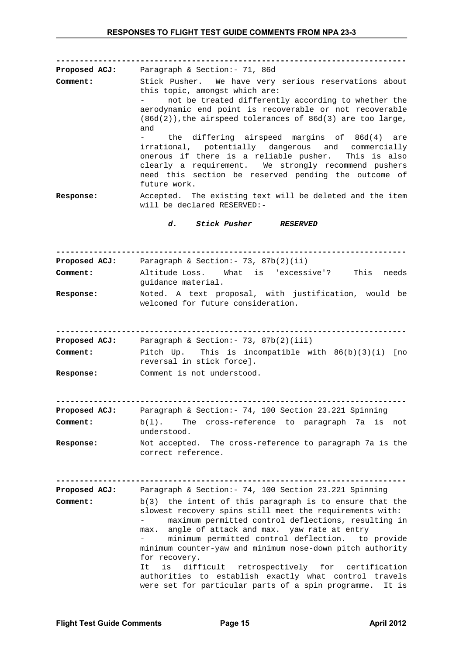| Comment:<br><b>Response:</b>     | <b>Proposed ACJ:</b> Paragraph & Section: - 71, 86d<br>Stick Pusher. We have very serious reservations about<br>this topic, amongst which are:<br>not be treated differently according to whether the<br>aerodynamic end point is recoverable or not recoverable<br>$(86d(2))$ , the airspeed tolerances of $86d(3)$ are too large,<br>and<br>the differing airspeed margins of 86d(4) are<br>$\omega_{\rm{max}}$<br>irrational, potentially dangerous and commercially<br>onerous if there is a reliable pusher. This is also<br>clearly a requirement. We strongly recommend pushers<br>need this section be reserved pending the outcome of<br>future work.<br>Accepted. The existing text will be deleted and the item |
|----------------------------------|----------------------------------------------------------------------------------------------------------------------------------------------------------------------------------------------------------------------------------------------------------------------------------------------------------------------------------------------------------------------------------------------------------------------------------------------------------------------------------------------------------------------------------------------------------------------------------------------------------------------------------------------------------------------------------------------------------------------------|
|                                  | will be declared RESERVED:-                                                                                                                                                                                                                                                                                                                                                                                                                                                                                                                                                                                                                                                                                                |
|                                  | d. Stick Pusher RESERVED                                                                                                                                                                                                                                                                                                                                                                                                                                                                                                                                                                                                                                                                                                   |
|                                  |                                                                                                                                                                                                                                                                                                                                                                                                                                                                                                                                                                                                                                                                                                                            |
| Comment:                         | Proposed ACJ: Paragraph & Section: - 73, 87b(2)(ii)<br>Altitude Loss. What is 'excessive'? This needs<br>quidance material.                                                                                                                                                                                                                                                                                                                                                                                                                                                                                                                                                                                                |
| <b>Response:</b>                 | Noted. A text proposal, with justification, would be<br>welcomed for future consideration.                                                                                                                                                                                                                                                                                                                                                                                                                                                                                                                                                                                                                                 |
|                                  |                                                                                                                                                                                                                                                                                                                                                                                                                                                                                                                                                                                                                                                                                                                            |
| <b>Proposed ACJ:</b><br>Comment: | Paragraph & Section: $-73$ , $87b(2)(iii)$<br>Pitch Up. This is incompatible with $86(b)(3)(i)$ [no<br>reversal in stick force].                                                                                                                                                                                                                                                                                                                                                                                                                                                                                                                                                                                           |
| <b>Response:</b>                 | Comment is not understood.                                                                                                                                                                                                                                                                                                                                                                                                                                                                                                                                                                                                                                                                                                 |
|                                  |                                                                                                                                                                                                                                                                                                                                                                                                                                                                                                                                                                                                                                                                                                                            |
| <b>Proposed ACJ:</b><br>Comment: | Paragraph & Section: - 74, 100 Section 23.221 Spinning<br>The cross-reference to paragraph 7a<br>$b(1)$ .<br>is<br>not<br>understood.                                                                                                                                                                                                                                                                                                                                                                                                                                                                                                                                                                                      |
| Response:                        | Not accepted. The cross-reference to paragraph 7a is the<br>correct reference.                                                                                                                                                                                                                                                                                                                                                                                                                                                                                                                                                                                                                                             |
| <b>Proposed ACJ:</b>             | Paragraph & Section: - 74, 100 Section 23.221 Spinning                                                                                                                                                                                                                                                                                                                                                                                                                                                                                                                                                                                                                                                                     |
| Comment:                         | $b(3)$ the intent of this paragraph is to ensure that the<br>slowest recovery spins still meet the requirements with:<br>maximum permitted control deflections, resulting in<br>angle of attack and max. yaw rate at entry<br>max.<br>minimum permitted control deflection. to provide<br>minimum counter-yaw and minimum nose-down pitch authority<br>for recovery.<br>difficult retrospectively for certification<br>It<br>is<br>authorities to establish exactly what control travels<br>were set for particular parts of a spin programme.<br>It is                                                                                                                                                                    |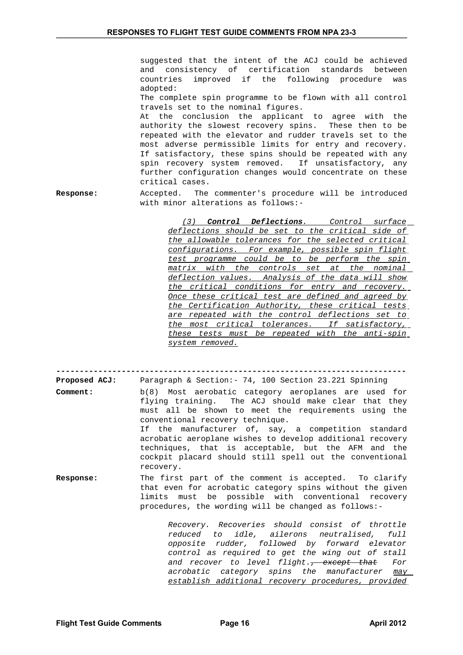suggested that the intent of the ACJ could be achieved and consistency of certification standards between countries improved if the following procedure was adopted:

The complete spin programme to be flown with all control travels set to the nominal figures.

At the conclusion the applicant to agree with the authority the slowest recovery spins. These then to be repeated with the elevator and rudder travels set to the most adverse permissible limits for entry and recovery. If satisfactory, these spins should be repeated with any spin recovery system removed. If unsatisfactory, any further configuration changes would concentrate on these critical cases.

**Response:** Accepted. The commenter's procedure will be introduced with minor alterations as follows:-

> *(3) Control Deflections . Control surface deflections should be set to the critical side of the allowable tolerances for the selected critical configurations. For example, possible spin flight test programme could be to be perform the spin matrix with the controls set at the nominal deflection values. Analysis of the data will show the critical conditions for entry and recovery. Once these critical test are defined and agreed by the Certification Authority, these critical tests are repeated with the control deflections set to the most critical tolerances. If satisfactory, these tests must be repeated with the anti-spin system removed.*

**---------------------------------------------------------------------------**

**Proposed ACJ:** Paragraph & Section:- 74, 100 Section 23.221 Spinning **Comment:** b(8) Most aerobatic category aeroplanes are used for flying training. The ACJ should make clear that they must all be shown to meet the requirements using the conventional recovery technique. If the manufacturer of, say, a competition standard acrobatic aeroplane wishes to develop additional recovery techniques, that is acceptable, but the AFM and the cockpit placard should still spell out the conventional recovery. **Response:** The first part of the comment is accepted. To clarify

that even for acrobatic category spins without the given limits must be possible with conventional recovery procedures, the wording will be changed as follows:-

> *Recovery. Recoveries should consist of throttle reduced to idle, ailerons neutralised, full opposite rudder, followed by forward elevator control as required to get the wing out of stall and recover to level flight., except that For acrobatic category spins the manufacturer may establish additional recovery procedures, provided*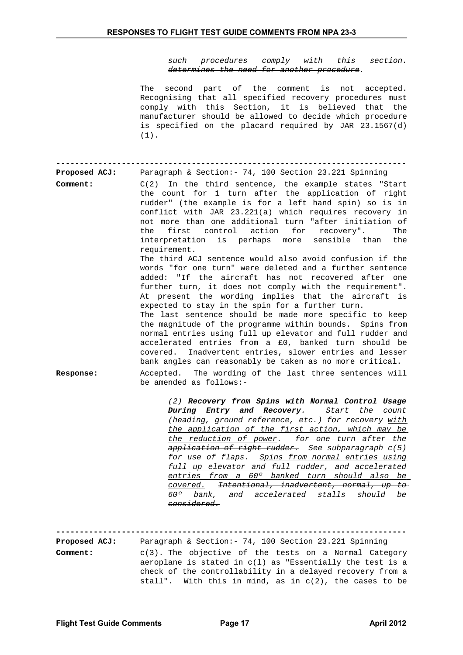*such procedures comply with this section. determines the need for another procedure.*

|                                  | The second part of the comment is not accepted.<br>Recognising that all specified recovery procedures must<br>comply with this Section, it is believed that the<br>manufacturer should be allowed to decide which procedure<br>is specified on the placard required by JAR 23.1567(d)<br>$(1)$ .                                                                                                                                                                                                                                                                                                                                                                                                                                                                              |
|----------------------------------|-------------------------------------------------------------------------------------------------------------------------------------------------------------------------------------------------------------------------------------------------------------------------------------------------------------------------------------------------------------------------------------------------------------------------------------------------------------------------------------------------------------------------------------------------------------------------------------------------------------------------------------------------------------------------------------------------------------------------------------------------------------------------------|
| Proposed ACJ:<br>Comment:        | Paragraph & Section: - 74, 100 Section 23.221 Spinning<br>$C(2)$ In the third sentence, the example states "Start<br>the count for 1 turn after the application of right<br>rudder" (the example is for a left hand spin) so is in<br>conflict with JAR 23.221(a) which requires recovery in<br>not more than one additional turn "after initiation of<br>first control action for recovery".<br>the<br>The<br>interpretation is perhaps more<br>sensible than the<br>requirement.                                                                                                                                                                                                                                                                                            |
| Response:                        | The third ACJ sentence would also avoid confusion if the<br>words "for one turn" were deleted and a further sentence<br>added: "If the aircraft has not recovered after one<br>further turn, it does not comply with the requirement".<br>At present the wording implies that the aircraft is<br>expected to stay in the spin for a further turn.<br>The last sentence should be made more specific to keep<br>the magnitude of the programme within bounds. Spins from<br>normal entries using full up elevator and full rudder and<br>accelerated entries from a £0, banked turn should be<br>covered. Inadvertent entries, slower entries and lesser<br>bank angles can reasonably be taken as no more critical.<br>Accepted. The wording of the last three sentences will |
|                                  | be amended as follows:-<br>(2) Recovery from Spins with Normal Control Usage<br>During Entry and Recovery.<br>Start<br>the<br>count<br>(heading, ground reference, etc.) for recovery with<br>the application of the first action, which may be<br>the reduction of power. for one turn after the-<br>application of right rudder. See subparagraph c(5)<br>for use of flaps. Spins from normal entries using<br>full up elevator and full rudder, and accelerated<br>entries from a 60° banked turn should also be<br>covered. <del>Intentional, inadvertent, normal, up to</del><br>60 <sup>o</sup> bank, and accelerated stalls should be<br><del>considered.</del>                                                                                                        |
| <b>Proposed ACJ:</b><br>Comment: | Paragraph & Section: - 74, 100 Section 23.221 Spinning<br>$c(3)$ . The objective of the tests on a Normal Category<br>aeroplane is stated in $c(1)$ as "Essentially the test is a<br>check of the controllability in a delayed recovery from a<br>stall". With this in mind, as in $c(2)$ , the cases to be                                                                                                                                                                                                                                                                                                                                                                                                                                                                   |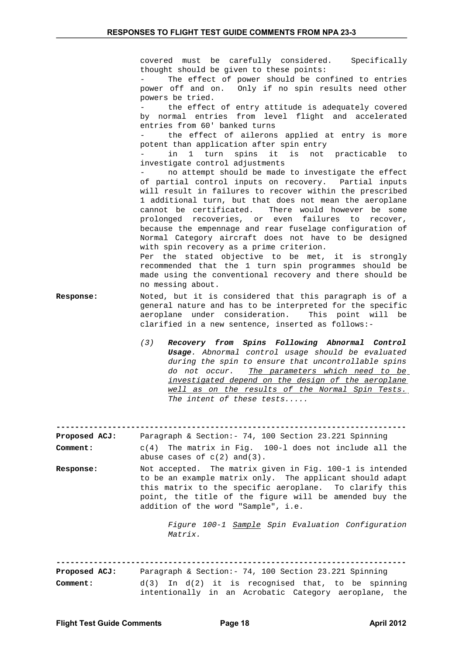covered must be carefully considered. Specifically thought should be given to these points:

The effect of power should be confined to entries power off and on. Only if no spin results need other powers be tried.

the effect of entry attitude is adequately covered by normal entries from level flight and accelerated entries from 60' banked turns

the effect of ailerons applied at entry is more potent than application after spin entry

in 1 turn spins it is not practicable to investigate control adjustments

- no attempt should be made to investigate the effect of partial control inputs on recovery. Partial inputs will result in failures to recover within the prescribed 1 additional turn, but that does not mean the aeroplane cannot be certificated. There would however be some prolonged recoveries, or even failures to recover, because the empennage and rear fuselage configuration of Normal Category aircraft does not have to be designed with spin recovery as a prime criterion.

Per the stated objective to be met, it is strongly recommended that the 1 turn spin programmes should be made using the conventional recovery and there should be no messing about.

- **Response:** Noted, but it is considered that this paragraph is of a general nature and has to be interpreted for the specific aeroplane under consideration. This point will be clarified in a new sentence, inserted as follows:-
	- *(3) Recovery from Spins Following Abnormal Control Usage. Abnormal control usage should be evaluated during the spin to ensure that uncontrollable spins do not occur. The parameters which need to be investigated depend on the design of the aeroplane well as on the results of the Normal Spin Tests. The intent of these tests.....*

**---------------------------------------------------------------------------**

**Proposed ACJ:** Paragraph & Section:- 74, 100 Section 23.221 Spinning **Comment:** c(4) The matrix in Fig. 100-l does not include all the

abuse cases of  $c(2)$  and(3).

**Response:** Not accepted. The matrix given in Fig. 100-1 is intended to be an example matrix only. The applicant should adapt this matrix to the specific aeroplane. To clarify this point, the title of the figure will be amended buy the addition of the word "Sample", i.e.

> *Figure 100-1 Sample Spin Evaluation Configuration Matrix.*

**---------------------------------------------------------------------------**

| <b>Proposed ACJ:</b> |  |  | Paragraph & Section: - 74, 100 Section 23.221 Spinning |  |  |  |
|----------------------|--|--|--------------------------------------------------------|--|--|--|
| Comment:             |  |  | $d(3)$ In $d(2)$ it is recognised that, to be spinning |  |  |  |
|                      |  |  | intentionally in an Acrobatic Category aeroplane, the  |  |  |  |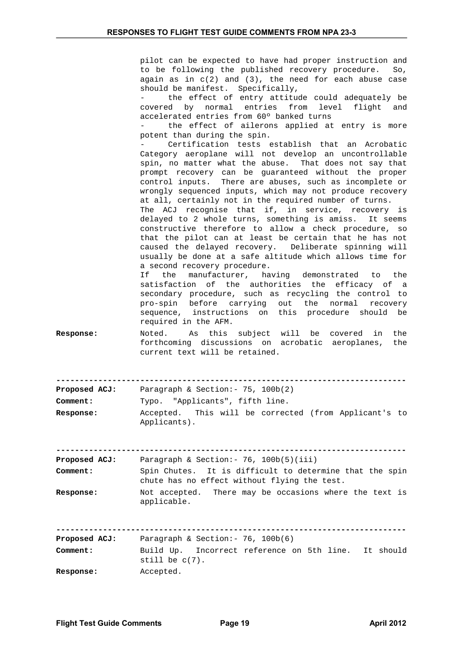|                           | pilot can be expected to have had proper instruction and<br>to be following the published recovery procedure.<br>So,<br>again as in $c(2)$ and $(3)$ , the need for each abuse case<br>should be manifest. Specifically,<br>the effect of entry attitude could adequately be<br>covered by normal entries from level flight<br>and<br>accelerated entries from 60° banked turns<br>the effect of ailerons applied at entry is more<br>potent than during the spin.<br>Certification tests establish that an Acrobatic<br>Category aeroplane will not develop an uncontrollable<br>spin, no matter what the abuse. That does not say that<br>prompt recovery can be guaranteed without the proper<br>control inputs. There are abuses, such as incomplete or<br>wrongly sequenced inputs, which may not produce recovery<br>at all, certainly not in the required number of turns.<br>The ACJ recognise that if, in service, recovery is<br>delayed to 2 whole turns, something is amiss. It seems<br>constructive therefore to allow a check procedure, so<br>that the pilot can at least be certain that he has not<br>caused the delayed recovery. Deliberate spinning will<br>usually be done at a safe altitude which allows time for<br>a second recovery procedure.<br>manufacturer, having demonstrated to the<br>If the<br>satisfaction of the authorities the efficacy of a<br>secondary procedure, such as recycling the control to<br>pro-spin before carrying out the<br>normal<br>recovery<br>sequence, instructions on this procedure should be<br>required in the AFM. |
|---------------------------|---------------------------------------------------------------------------------------------------------------------------------------------------------------------------------------------------------------------------------------------------------------------------------------------------------------------------------------------------------------------------------------------------------------------------------------------------------------------------------------------------------------------------------------------------------------------------------------------------------------------------------------------------------------------------------------------------------------------------------------------------------------------------------------------------------------------------------------------------------------------------------------------------------------------------------------------------------------------------------------------------------------------------------------------------------------------------------------------------------------------------------------------------------------------------------------------------------------------------------------------------------------------------------------------------------------------------------------------------------------------------------------------------------------------------------------------------------------------------------------------------------------------------------------------------------------------------------------|
| Response:                 | As this subject will be covered in<br>the<br>Noted.<br>forthcoming discussions on acrobatic aeroplanes,<br>the<br>current text will be retained.                                                                                                                                                                                                                                                                                                                                                                                                                                                                                                                                                                                                                                                                                                                                                                                                                                                                                                                                                                                                                                                                                                                                                                                                                                                                                                                                                                                                                                      |
| <b>Proposed ACJ:</b>      | Paragraph & Section: - 75, 100b(2)                                                                                                                                                                                                                                                                                                                                                                                                                                                                                                                                                                                                                                                                                                                                                                                                                                                                                                                                                                                                                                                                                                                                                                                                                                                                                                                                                                                                                                                                                                                                                    |
| <b>Comment:</b>           | Typo. "Applicants", fifth line.                                                                                                                                                                                                                                                                                                                                                                                                                                                                                                                                                                                                                                                                                                                                                                                                                                                                                                                                                                                                                                                                                                                                                                                                                                                                                                                                                                                                                                                                                                                                                       |
| <b>Response:</b>          | This will be corrected (from Applicant's to<br>Accepted.<br>Applicants).                                                                                                                                                                                                                                                                                                                                                                                                                                                                                                                                                                                                                                                                                                                                                                                                                                                                                                                                                                                                                                                                                                                                                                                                                                                                                                                                                                                                                                                                                                              |
| Proposed ACJ:<br>Comment: | Paragraph & Section: - $76$ , $100b(5)(iii)$<br>Spin Chutes.<br>It is difficult to determine that the spin<br>chute has no effect without flying the test.                                                                                                                                                                                                                                                                                                                                                                                                                                                                                                                                                                                                                                                                                                                                                                                                                                                                                                                                                                                                                                                                                                                                                                                                                                                                                                                                                                                                                            |
| Response:                 | Not accepted. There may be occasions where the text is<br>applicable.                                                                                                                                                                                                                                                                                                                                                                                                                                                                                                                                                                                                                                                                                                                                                                                                                                                                                                                                                                                                                                                                                                                                                                                                                                                                                                                                                                                                                                                                                                                 |
| <b>Proposed ACJ:</b>      | Paragraph & Section: - 76, 100b(6)                                                                                                                                                                                                                                                                                                                                                                                                                                                                                                                                                                                                                                                                                                                                                                                                                                                                                                                                                                                                                                                                                                                                                                                                                                                                                                                                                                                                                                                                                                                                                    |
| Comment:                  | Build Up.<br>Incorrect reference on 5th line. It should<br>still be $c(7)$ .                                                                                                                                                                                                                                                                                                                                                                                                                                                                                                                                                                                                                                                                                                                                                                                                                                                                                                                                                                                                                                                                                                                                                                                                                                                                                                                                                                                                                                                                                                          |
| Response:                 | Accepted.                                                                                                                                                                                                                                                                                                                                                                                                                                                                                                                                                                                                                                                                                                                                                                                                                                                                                                                                                                                                                                                                                                                                                                                                                                                                                                                                                                                                                                                                                                                                                                             |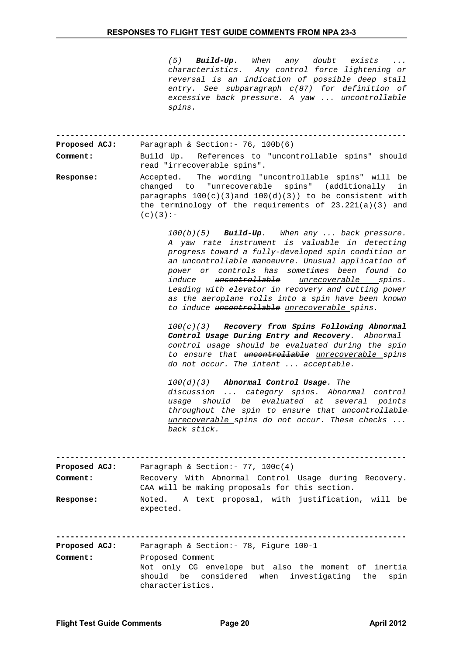*(5) Build-Up. When any doubt exists ... characteristics. Any control force lightening or reversal is an indication of possible deep stall entry. See subparagraph c(87) for definition of excessive back pressure. A yaw ... uncontrollable spins.*

**--------------------------------------------------------------------------- Proposed ACJ:** Paragraph & Section:- 76, 100b(6)

**Comment:** Build Up. References to "uncontrollable spins" should read "irrecoverable spins".

**Response:** Accepted. The wording "uncontrollable spins" will be changed to "unrecoverable spins" (additionally in paragraphs  $100(c)(3)$  and  $100(d)(3)$ ) to be consistent with the terminology of the requirements of 23.221(a)(3) and  $(c)(3):$ 

> *100(b)(5) Build-Up. When any ... back pressure. A yaw rate instrument is valuable in detecting progress toward a fully-developed spin condition or an uncontrollable manoeuvre. Unusual application of power or controls has sometimes been found to induce uncontrollable unrecoverable spins. Leading with elevator in recovery and cutting power as the aeroplane rolls into a spin have been known to induce uncontrollable unrecoverable spins.*

> *100(c)(3) Recovery from Spins Following Abnormal Control Usage During Entry and Recovery. Abnormal control usage should be evaluated during the spin to ensure that uncontrollable unrecoverable spins do not occur. The intent ... acceptable.*

> *100(d)(3) Abnormal Control Usage. The discussion ... category spins. Abnormal control usage should be evaluated at several points throughout the spin to ensure that uncontrollable unrecoverable spins do not occur. These checks ... back stick.*

| Proposed ACJ:        | Paragraph & Section: $-77$ , 100 $c(4)$                                                                                                            |
|----------------------|----------------------------------------------------------------------------------------------------------------------------------------------------|
| Comment:             | Recovery With Abnormal Control Usage during Recovery.<br>CAA will be making proposals for this section.                                            |
| Response:            | Noted. A text proposal, with justification, will be<br>expected.                                                                                   |
| <b>Proposed ACJ:</b> | Paragraph & Section: - 78, Figure 100-1                                                                                                            |
| Comment:             | Proposed Comment<br>Not only CG envelope but also the moment of inertia<br>should be considered when investigating the<br>spin<br>characteristics. |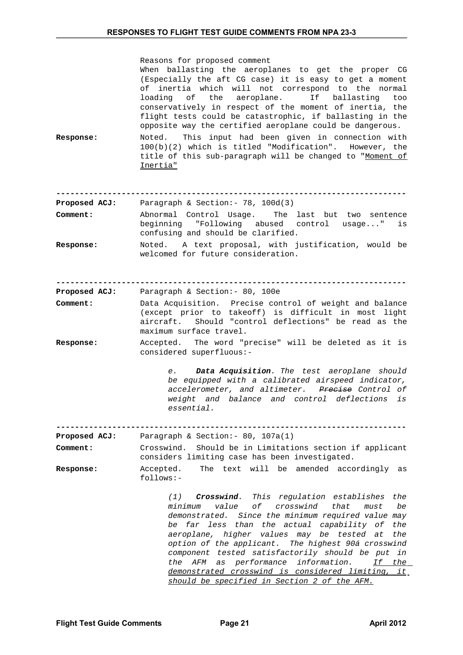| Response:     | Reasons for proposed comment<br>When ballasting the aeroplanes to get the proper CG<br>(Especially the aft CG case) it is easy to get a moment<br>of inertia which will not correspond to the normal<br>loading of the aeroplane.<br>If ballasting<br>too<br>conservatively in respect of the moment of inertia, the<br>flight tests could be catastrophic, if ballasting in the<br>opposite way the certified aeroplane could be dangerous.<br>Noted. This input had been given in connection with<br>100(b)(2) which is titled "Modification". However, the<br>title of this sub-paragraph will be changed to "Moment of<br>Inertia" |
|---------------|----------------------------------------------------------------------------------------------------------------------------------------------------------------------------------------------------------------------------------------------------------------------------------------------------------------------------------------------------------------------------------------------------------------------------------------------------------------------------------------------------------------------------------------------------------------------------------------------------------------------------------------|
| Proposed ACJ: | Paragraph & Section: - 78, 100d(3)                                                                                                                                                                                                                                                                                                                                                                                                                                                                                                                                                                                                     |
| Comment:      | Abnormal Control Usage. The last but two sentence<br>beginning "Following abused control usage"<br>is<br>confusing and should be clarified.                                                                                                                                                                                                                                                                                                                                                                                                                                                                                            |
| Response:     | Noted. A text proposal, with justification, would be<br>welcomed for future consideration.                                                                                                                                                                                                                                                                                                                                                                                                                                                                                                                                             |
|               |                                                                                                                                                                                                                                                                                                                                                                                                                                                                                                                                                                                                                                        |
| Proposed ACJ: | Paragraph & Section: - 80, 100e                                                                                                                                                                                                                                                                                                                                                                                                                                                                                                                                                                                                        |
| Comment:      | Data Acquisition. Precise control of weight and balance<br>(except prior to takeoff) is difficult in most light<br>Should "control deflections" be read as the<br>aircraft.<br>maximum surface travel.                                                                                                                                                                                                                                                                                                                                                                                                                                 |
| Response:     | Accepted. The word "precise" will be deleted as it is<br>considered superfluous:-                                                                                                                                                                                                                                                                                                                                                                                                                                                                                                                                                      |
|               | Data Acquisition. The test aeroplane should<br>е. А<br>be equipped with a calibrated airspeed indicator,<br>accelerometer, and altimeter. Precise Control of<br>weight and balance and control deflections is<br>essential.                                                                                                                                                                                                                                                                                                                                                                                                            |
|               |                                                                                                                                                                                                                                                                                                                                                                                                                                                                                                                                                                                                                                        |
| Proposed ACJ: | Paragraph & Section: - $80, 107a(1)$                                                                                                                                                                                                                                                                                                                                                                                                                                                                                                                                                                                                   |
| Comment:      | Crosswind.<br>Should be in Limitations section if applicant<br>considers limiting case has been investigated.                                                                                                                                                                                                                                                                                                                                                                                                                                                                                                                          |
| Response:     | The text will be<br>Accepted.<br>amended accordingly<br>as<br>follows:-                                                                                                                                                                                                                                                                                                                                                                                                                                                                                                                                                                |
|               | This regulation establishes<br>the<br>(1)<br>Crosswind.<br>оf<br>crosswind<br>be<br>value<br>that<br>must<br>minimum<br>demonstrated. Since the minimum required value may<br>than the actual capability of<br>far less<br>the<br>be<br>aeroplane, higher values may<br>be tested at<br>the<br>option of the applicant. The highest 90á crosswind<br>component tested satisfactorily should be put<br>in<br>performance<br>information.<br>the<br>AFM<br>If the<br>as<br>demonstrated crosswind is considered limiting,<br><u>it</u><br>should be specified in Section 2 of the AFM.                                                   |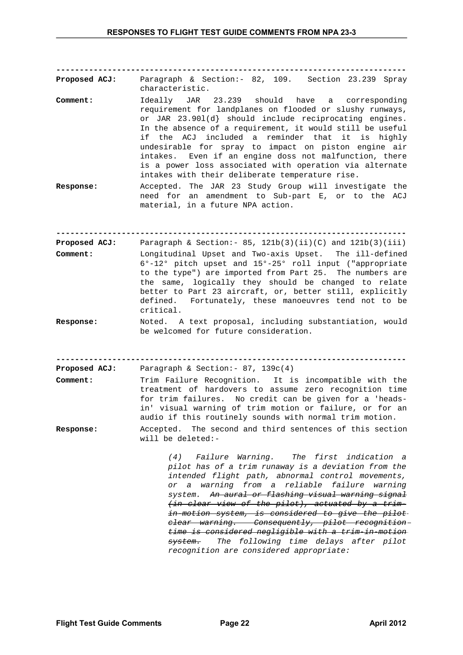**---------------------------------------------------------------------------**

**Proposed ACJ:** Paragraph & Section:- 82, 109. Section 23.239 Spray characteristic.

- **Comment:** Ideally JAR 23.239 should have a corresponding requirement for landplanes on flooded or slushy runways, or JAR 23.90l(d} should include reciprocating engines. In the absence of a requirement, it would still be useful if the ACJ included a reminder that it is highly undesirable for spray to impact on piston engine air intakes. Even if an engine doss not malfunction, there is a power loss associated with operation via alternate intakes with their deliberate temperature rise.
- **Response:** Accepted. The JAR 23 Study Group will investigate the need for an amendment to Sub-part E, or to the ACJ material, in a future NPA action.

**---------------------------------------------------------------------------**

- **Proposed ACJ:** Paragraph & Section: 85, 121b(3)(ii)(C) and 121b(3)(iii) **Comment:** Longitudinal Upset and Two-axis Upset. The ill-defined 6°-12° pitch upset and 15°-25° roll input ("appropriate to the type") are imported from Part 25. The numbers are the same, logically they should be changed to relate better to Part 23 aircraft, or, better still, explicitly defined. Fortunately, these manoeuvres tend not to be critical.
- **Response:** Noted. A text proposal, including substantiation, would be welcomed for future consideration.

**---------------------------------------------------------------------------**

**Proposed ACJ:** Paragraph & Section:- 87, 139c(4)

- **Comment:** Trim Failure Recognition. It is incompatible with the treatment of hardovers to assume zero recognition time for trim failures. No credit can be given for a 'headsin' visual warning of trim motion or failure, or for an audio if this routinely sounds with normal trim motion.
- **Response:** Accepted. The second and third sentences of this section will be deleted:-

*(4) Failure Warning. The first indication a pilot has of a trim runaway is a deviation from the intended flight path, abnormal control movements, or a warning from a reliable failure warning system. An aural or flashing visual warning signal (in clear view of the pilot), actuated by a trimin-motion system, is considered to give the pilot clear warning. Consequently, pilot recognition time is considered negligible with a trim-in-motion system. The following time delays after pilot recognition are considered appropriate:*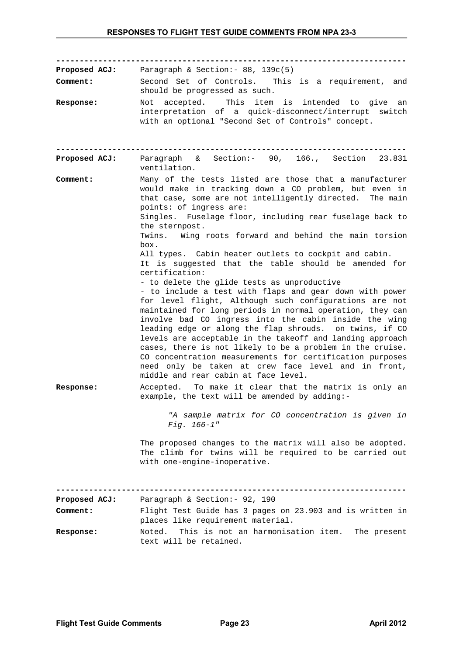| <b>Proposed ACJ:</b><br>Comment: | Paragraph & Section: - $88, 139c(5)$<br>Second Set of Controls. This is a requirement, and<br>should be progressed as such.                                                                                                                                                                                                                                                                                                                                                                                                                                                                                                                                                                                                                                                                                                                                                                                                                                                                                                                                                                                                        |
|----------------------------------|------------------------------------------------------------------------------------------------------------------------------------------------------------------------------------------------------------------------------------------------------------------------------------------------------------------------------------------------------------------------------------------------------------------------------------------------------------------------------------------------------------------------------------------------------------------------------------------------------------------------------------------------------------------------------------------------------------------------------------------------------------------------------------------------------------------------------------------------------------------------------------------------------------------------------------------------------------------------------------------------------------------------------------------------------------------------------------------------------------------------------------|
| Response:                        | accepted. This item is intended to give an<br>Not<br>interpretation of a quick-disconnect/interrupt switch<br>with an optional "Second Set of Controls" concept.                                                                                                                                                                                                                                                                                                                                                                                                                                                                                                                                                                                                                                                                                                                                                                                                                                                                                                                                                                   |
| <b>Proposed ACJ:</b>             | Paragraph & Section:- 90, 166., Section 23.831<br>ventilation.                                                                                                                                                                                                                                                                                                                                                                                                                                                                                                                                                                                                                                                                                                                                                                                                                                                                                                                                                                                                                                                                     |
| Comment:                         | Many of the tests listed are those that a manufacturer<br>would make in tracking down a CO problem, but even in<br>that case, some are not intelligently directed. The main<br>points: of ingress are:<br>Singles. Fuselage floor, including rear fuselage back to<br>the sternpost.<br>Twins. Wing roots forward and behind the main torsion<br>box.<br>All types. Cabin heater outlets to cockpit and cabin.<br>It is suggested that the table should be amended for<br>certification:<br>- to delete the glide tests as unproductive<br>- to include a test with flaps and gear down with power<br>for level flight, Although such configurations are not<br>maintained for long periods in normal operation, they can<br>involve bad CO ingress into the cabin inside the wing<br>leading edge or along the flap shrouds. on twins, if CO<br>levels are acceptable in the takeoff and landing approach<br>cases, there is not likely to be a problem in the cruise.<br>CO concentration measurements for certification purposes<br>need only be taken at crew face level and in front,<br>middle and rear cabin at face level. |
| Response:                        | Accepted. To make it clear that the matrix is only an<br>example, the text will be amended by adding:-                                                                                                                                                                                                                                                                                                                                                                                                                                                                                                                                                                                                                                                                                                                                                                                                                                                                                                                                                                                                                             |
|                                  | "A sample matrix for CO concentration is given in<br>$Fig. 166-1"$                                                                                                                                                                                                                                                                                                                                                                                                                                                                                                                                                                                                                                                                                                                                                                                                                                                                                                                                                                                                                                                                 |
|                                  | The proposed changes to the matrix will also be adopted.<br>The climb for twins will be required to be carried out<br>with one-engine-inoperative.                                                                                                                                                                                                                                                                                                                                                                                                                                                                                                                                                                                                                                                                                                                                                                                                                                                                                                                                                                                 |
| <b>Proposed ACJ:</b>             | Paragraph & Section: - 92, 190                                                                                                                                                                                                                                                                                                                                                                                                                                                                                                                                                                                                                                                                                                                                                                                                                                                                                                                                                                                                                                                                                                     |
| Comment:                         | Flight Test Guide has 3 pages on 23.903 and is written in<br>places like requirement material.                                                                                                                                                                                                                                                                                                                                                                                                                                                                                                                                                                                                                                                                                                                                                                                                                                                                                                                                                                                                                                     |
| Response:                        | This is not an harmonisation item.<br>The present<br>Noted.<br>text will be retained.                                                                                                                                                                                                                                                                                                                                                                                                                                                                                                                                                                                                                                                                                                                                                                                                                                                                                                                                                                                                                                              |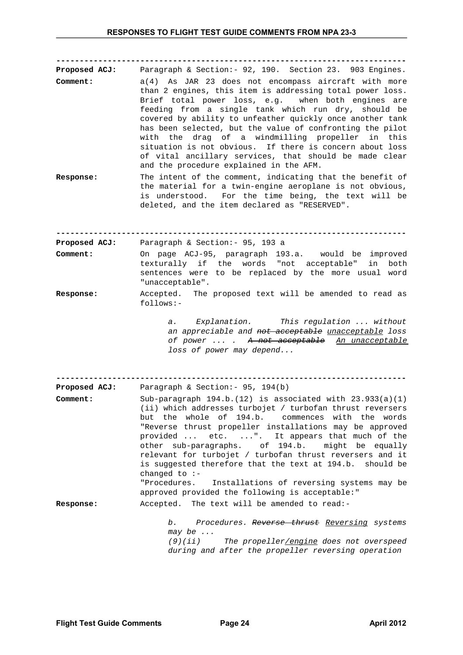**--------------------------------------------------------------------------- Proposed ACJ:** Paragraph & Section:- 92, 190. Section 23. 903 Engines. **Comment:** a(4) As JAR 23 does not encompass aircraft with more than 2 engines, this item is addressing total power loss. Brief total power loss, e.g. when both engines are feeding from a single tank which run dry, should be covered by ability to unfeather quickly once another tank has been selected, but the value of confronting the pilot with the drag of a windmilling propeller in this situation is not obvious. If there is concern about loss of vital ancillary services, that should be made clear and the procedure explained in the AFM.

**Response:** The intent of the comment, indicating that the benefit of the material for a twin-engine aeroplane is not obvious, is understood. For the time being, the text will be deleted, and the item declared as "RESERVED".

**--------------------------------------------------------------------------- Proposed ACJ:** Paragraph & Section:- 95, 193 a

- **Comment:** On page ACJ-95, paragraph 193.a. would be improved texturally if the words "not acceptable" in both sentences were to be replaced by the more usual word "unacceptable".
- **Response:** Accepted. The proposed text will be amended to read as follows:-

*a. Explanation. This regulation ... without an appreciable and not acceptable unacceptable loss of power ... . A not acceptable An unacceptable loss of power may depend...*

**---------------------------------------------------------------------------**

| <b>Proposed ACJ:</b> | Paragraph & Section: - 95, 194(b)                                                                                                                                                                                                                                                                                                                                                                                                                                                                                                                   |  |  |  |
|----------------------|-----------------------------------------------------------------------------------------------------------------------------------------------------------------------------------------------------------------------------------------------------------------------------------------------------------------------------------------------------------------------------------------------------------------------------------------------------------------------------------------------------------------------------------------------------|--|--|--|
| Comment:             | Sub-paragraph $194.b.(12)$ is associated with $23.933(a)(1)$<br>(ii) which addresses turbojet / turbofan thrust reversers<br>but the whole of 194.b. commences with the words<br>"Reverse thrust propeller installations may be approved<br>provided  etc. ". It appears that much of the<br>other sub-paragraphs. of 194.b. might be equally<br>relevant for turbojet / turbofan thrust reversers and it<br>is suggested therefore that the text at 194.b. should be<br>changed to $:$ -<br>"Procedures. Installations of reversing systems may be |  |  |  |
| Response:            | Accepted. The text will be amended to read:-                                                                                                                                                                                                                                                                                                                                                                                                                                                                                                        |  |  |  |

*b. Procedures. Reverse thrust Reversing systems may be ... (9)(ii) The propeller/engine does not overspeed during and after the propeller reversing operation*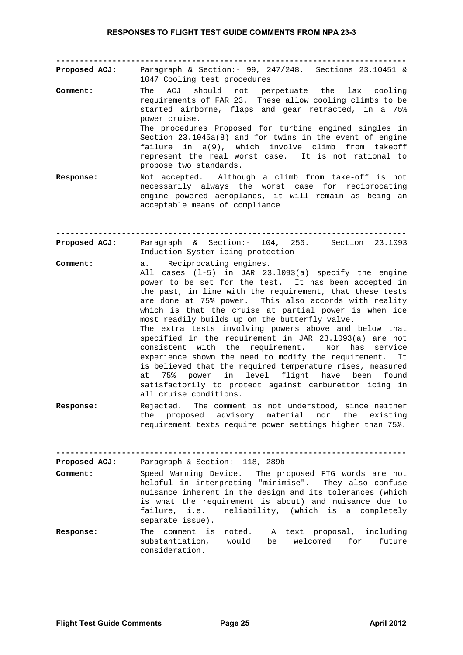**---------------------------------------------------------------------------**

Paragraph & Section:- 99, 247/248. Sections 23.10451 &

- 1047 Cooling test procedures **Comment:** The ACJ should not perpetuate the lax cooling requirements of FAR 23. These allow cooling climbs to be started airborne, flaps and gear retracted, in a 75% power cruise. The procedures Proposed for turbine engined singles in Section 23.1045a(8) and for twins in the event of engine failure in a(9), which involve climb from takeoff represent the real worst case. It is not rational to propose two standards. **Response:** Not accepted. Although a climb from take-off is not
- necessarily always the worst case for reciprocating engine powered aeroplanes, it will remain as being an acceptable means of compliance

**---------------------------------------------------------------------------** Proposed ACJ: Paragraph & Section:- 104, 256. Section 23.1093 Induction System icing protection

- **Comment:** a. Reciprocating engines.
- All cases (l-5) in JAR 23.l093(a) specify the engine power to be set for the test. It has been accepted in the past, in line with the requirement, that these tests are done at 75% power. This also accords with reality which is that the cruise at partial power is when ice most readily builds up on the butterfly valve. The extra tests involving powers above and below that specified in the requirement in JAR 23.l093(a) are not consistent with the requirement. Nor has service experience shown the need to modify the requirement. It is believed that the required temperature rises, measured at 75% power in level flight have been found satisfactorily to protect against carburettor icing in all cruise conditions.
- **Response:** Rejected. The comment is not understood, since neither the proposed advisory material nor the existing requirement texts require power settings higher than 75%.

**--------------------------------------------------------------------------- Proposed ACJ:** Paragraph & Section:- 118, 289b **Comment:** Speed Warning Device. The proposed FTG words are not helpful in interpreting "minimise". They also confuse nuisance inherent in the design and its tolerances (which is what the requirement is about) and nuisance due to failure, i.e. reliability, (which is a completely separate issue). **Response:** The comment is noted. A text proposal, including substantiation, would be welcomed for future consideration.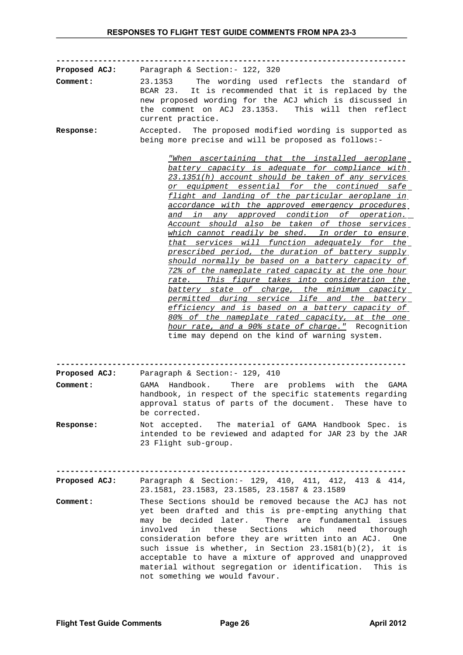**---------------------------------------------------------------------------**

| Proposed ACJ:                    | Paragraph & Section: - 122, 320                                                                                                                                                                                                                                                                                                                                                                                                                                                                                                                                                                                                                                                                                                                                                                                                                                                                                                                                                                                                                                                   |
|----------------------------------|-----------------------------------------------------------------------------------------------------------------------------------------------------------------------------------------------------------------------------------------------------------------------------------------------------------------------------------------------------------------------------------------------------------------------------------------------------------------------------------------------------------------------------------------------------------------------------------------------------------------------------------------------------------------------------------------------------------------------------------------------------------------------------------------------------------------------------------------------------------------------------------------------------------------------------------------------------------------------------------------------------------------------------------------------------------------------------------|
| Comment:                         | The wording used reflects the standard of<br>23.1353<br>It is recommended that it is replaced by the<br>BCAR 23.<br>new proposed wording for the ACJ which is discussed in<br>the comment on ACJ 23.1353. This will then reflect<br>current practice.                                                                                                                                                                                                                                                                                                                                                                                                                                                                                                                                                                                                                                                                                                                                                                                                                             |
| Response:                        | Accepted. The proposed modified wording is supported as<br>being more precise and will be proposed as follows:-                                                                                                                                                                                                                                                                                                                                                                                                                                                                                                                                                                                                                                                                                                                                                                                                                                                                                                                                                                   |
|                                  | <u> "When ascertaining that the installed aeroplane</u><br>battery capacity is adequate for compliance with<br>23.1351(h) account should be taken of any services<br><u>or equipment essential for the continued safe</u><br>flight and landing of the particular aeroplane in<br>accordance with the approved emergency procedures<br>in any approved condition of operation.<br>and<br>Account should also be taken of those services<br>which cannot readily be shed. In order to ensure<br>that services will function adequately for the<br>prescribed period, the duration of battery supply<br>should normally be based on a battery capacity of<br>72% of the nameplate rated capacity at the one hour<br>rate. This figure takes into consideration the<br>battery state of charge, the minimum capacity<br>permitted during service life and the battery<br>efficiency and is based on a battery capacity of<br>80% of the nameplate rated capacity, at the one<br>hour rate, and a 90% state of charge." Recognition<br>time may depend on the kind of warning system. |
|                                  |                                                                                                                                                                                                                                                                                                                                                                                                                                                                                                                                                                                                                                                                                                                                                                                                                                                                                                                                                                                                                                                                                   |
| <b>Proposed ACJ:</b><br>Comment: | Paragraph & Section: - 129, 410<br>Handbook.<br>There are<br>problems with the<br>GAMA<br><b>GAMA</b>                                                                                                                                                                                                                                                                                                                                                                                                                                                                                                                                                                                                                                                                                                                                                                                                                                                                                                                                                                             |
|                                  | handbook, in respect of the specific statements regarding<br>approval status of parts of the document. These have to<br>be corrected.                                                                                                                                                                                                                                                                                                                                                                                                                                                                                                                                                                                                                                                                                                                                                                                                                                                                                                                                             |
| Response:                        | Not accepted. The material of GAMA Handbook Spec. is<br>intended to be reviewed and adapted for JAR 23 by the JAR<br>23 Flight sub-group.                                                                                                                                                                                                                                                                                                                                                                                                                                                                                                                                                                                                                                                                                                                                                                                                                                                                                                                                         |
| <b>Proposed ACJ:</b>             | Paragraph & Section:- 129, 410, 411, 412, 413 & 414,<br>23.1581, 23.1583, 23.1585, 23.1587 & 23.1589                                                                                                                                                                                                                                                                                                                                                                                                                                                                                                                                                                                                                                                                                                                                                                                                                                                                                                                                                                              |
| Comment:                         | These Sections should be removed because the ACJ has not<br>yet been drafted and this is pre-empting anything that<br>may be decided later.<br>There are fundamental issues<br>Sections<br>involved<br>in<br>these<br>which<br>need<br>thorough<br>consideration before they are written into an ACJ. One<br>such issue is whether, in Section $23.1581(b)(2)$ , it is<br>acceptable to have a mixture of approved and unapproved<br>material without segregation or identification. This is<br>not something we would favour.                                                                                                                                                                                                                                                                                                                                                                                                                                                                                                                                                    |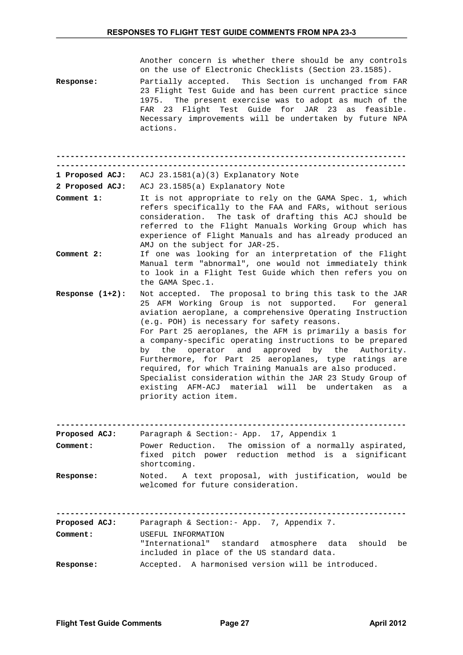|  |  |  |  |                                                        |  |  | Another concern is whether there should be any controls |
|--|--|--|--|--------------------------------------------------------|--|--|---------------------------------------------------------|
|  |  |  |  | on the use of Electronic Checklists (Section 23.1585). |  |  |                                                         |

**Response:** Partially accepted. This Section is unchanged from FAR 23 Flight Test Guide and has been current practice since 1975. The present exercise was to adopt as much of the FAR 23 Flight Test Guide for JAR 23 as feasible. Necessary improvements will be undertaken by future NPA actions.

**--------------------------------------------------------------------------- ---------------------------------------------------------------------------**

**1 Proposed ACJ:** ACJ 23.1581(a)(3) Explanatory Note

**2 Proposed ACJ:** ACJ 23.1585(a) Explanatory Note

- **Comment 1:** It is not appropriate to rely on the GAMA Spec. 1, which refers specifically to the FAA and FARs, without serious consideration. The task of drafting this ACJ should be referred to the Flight Manuals Working Group which has experience of Flight Manuals and has already produced an AMJ on the subject for JAR-25.
- **Comment 2:** If one was looking for an interpretation of the Flight Manual term "abnormal", one would not immediately think to look in a Flight Test Guide which then refers you on the GAMA Spec.1.
- **Response (1+2):** Not accepted. The proposal to bring this task to the JAR 25 AFM Working Group is not supported. For general aviation aeroplane, a comprehensive Operating Instruction (e.g. POH) is necessary for safety reasons. For Part 25 aeroplanes, the AFM is primarily a basis for a company-specific operating instructions to be prepared by the operator and approved by the Authority. Furthermore, for Part 25 aeroplanes, type ratings are required, for which Training Manuals are also produced. Specialist consideration within the JAR 23 Study Group of existing AFM-ACJ material will be undertaken as a priority action item.

**--------------------------------------------------------------------------- Proposed ACJ:** Paragraph & Section:- App. 17, Appendix 1

| FIUNUJUU MUJ.    |                                                                                                                               |
|------------------|-------------------------------------------------------------------------------------------------------------------------------|
| <b>Comment:</b>  | Power Reduction. The omission of a normally aspirated,<br>fixed pitch power reduction method is a significant<br>shortcoming. |
| <b>Response:</b> | Noted. A text proposal, with justification, would be<br>welcomed for future consideration.                                    |

**---------------------------------------------------------------------------** Paragraph & Section:- App. 7, Appendix 7. **Comment:** USEFUL INFORMATION "International" standard atmosphere data should be included in place of the US standard data. **Response:** Accepted. A harmonised version will be introduced.